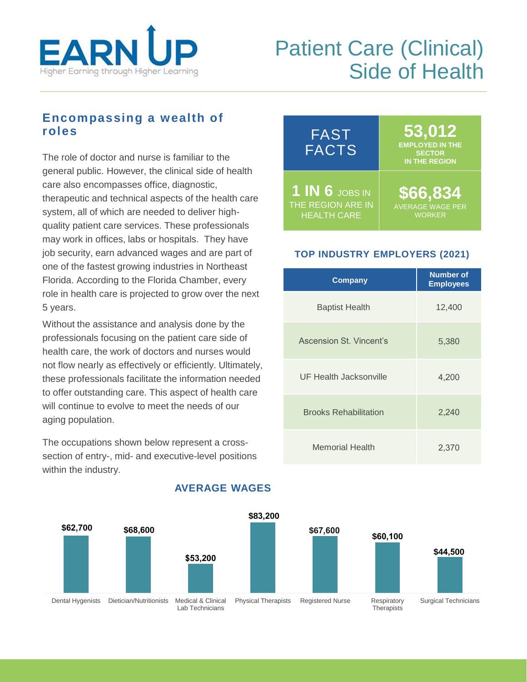

# Patient Care (Clinical) Side of Health

## **Encompassing a wealth of roles**

The role of doctor and nurse is familiar to the general public. However, the clinical side of health care also encompasses office, diagnostic, therapeutic and technical aspects of the health care system, all of which are needed to deliver highquality patient care services. These professionals may work in offices, labs or hospitals. They have job security, earn advanced wages and are part of one of the fastest growing industries in Northeast Florida. According to the Florida Chamber, every role in health care is projected to grow over the next 5 years.

Without the assistance and analysis done by the professionals focusing on the patient care side of health care, the work of doctors and nurses would not flow nearly as effectively or efficiently. Ultimately, these professionals facilitate the information needed to offer outstanding care. This aspect of health care will continue to evolve to meet the needs of our aging population.

The occupations shown below represent a crosssection of entry-, mid- and executive-level positions within the industry.



### **TOP INDUSTRY EMPLOYERS (2021)**

| <b>Company</b>               | <b>Number of</b><br><b>Employees</b> |
|------------------------------|--------------------------------------|
| <b>Baptist Health</b>        | 12,400                               |
| Ascension St. Vincent's      | 5,380                                |
| UF Health Jacksonville       | 4,200                                |
| <b>Brooks Rehabilitation</b> | 2,240                                |
| Memorial Health              | 2,370                                |



### **AVERAGE WAGES**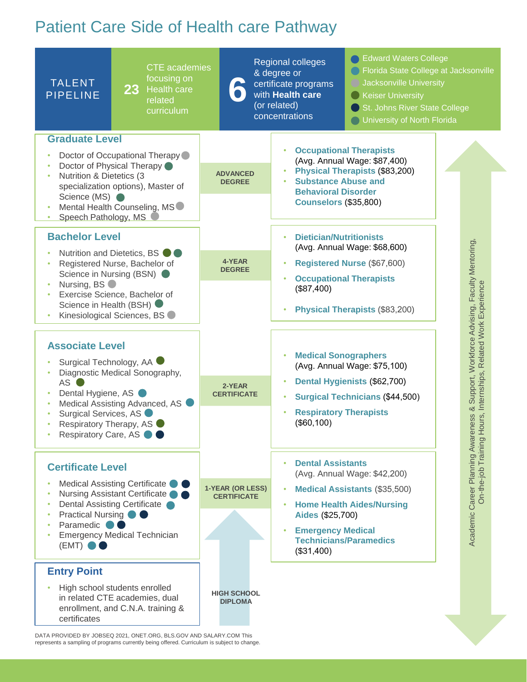# Patient Care Side of Health care Pathway



represents a sampling of programs currently being offered. Curriculum is subject to change.